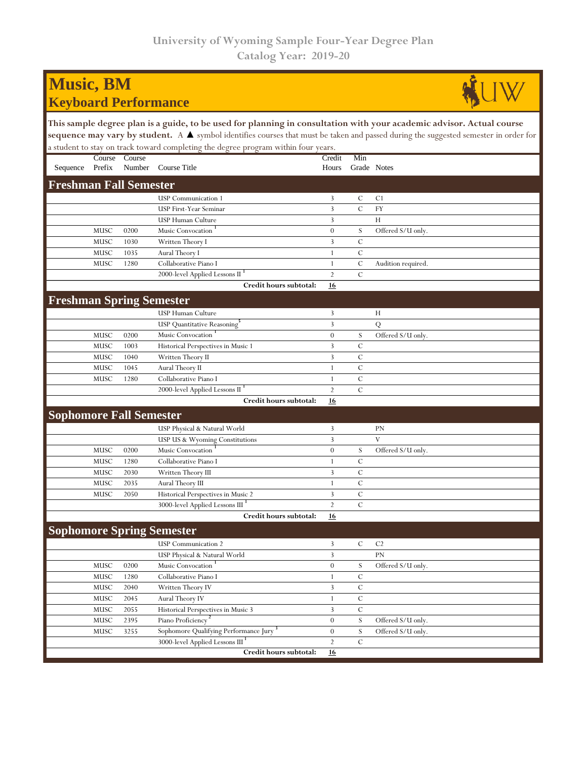## **Music, BM Keyboard Performance**



**This sample degree plan is a guide, to be used for planning in consultation with your academic advisor. Actual course**  sequence may vary by student. A ▲ symbol identifies courses that must be taken and passed during the suggested semester in order for a student to stay on track toward completing the degree program within four years.

|                                  | Course | Course |                                                    | Credit           | Min           |                    |  |  |  |  |
|----------------------------------|--------|--------|----------------------------------------------------|------------------|---------------|--------------------|--|--|--|--|
| Sequence                         | Prefix | Number | Course Title                                       | Hours            | Grade Notes   |                    |  |  |  |  |
| <b>Freshman Fall Semester</b>    |        |        |                                                    |                  |               |                    |  |  |  |  |
|                                  |        |        | <b>USP</b> Communication 1                         | 3                | C             | C <sub>1</sub>     |  |  |  |  |
|                                  |        |        | USP First-Year Seminar                             | 3                | $\mathbf C$   | FY                 |  |  |  |  |
|                                  |        |        | USP Human Culture                                  | 3                |               | H                  |  |  |  |  |
|                                  | MUSC   | 0200   | Music Convocation                                  | $\mathbf{0}$     | S             | Offered S/U only.  |  |  |  |  |
|                                  | MUSC   | 1030   | Written Theory I                                   | 3                | $\mathsf{C}$  |                    |  |  |  |  |
|                                  | MUSC   | 1035   | Aural Theory I                                     | 1                | $\mathcal{C}$ |                    |  |  |  |  |
|                                  | MUSC   | 1280   | Collaborative Piano I                              | $\mathbf{1}$     | $\mathbf C$   | Audition required. |  |  |  |  |
|                                  |        |        | 2000-level Applied Lessons II                      | $\overline{2}$   | $\mathcal{C}$ |                    |  |  |  |  |
|                                  |        |        | Credit hours subtotal:                             | 16               |               |                    |  |  |  |  |
| <b>Freshman Spring Semester</b>  |        |        |                                                    |                  |               |                    |  |  |  |  |
|                                  |        |        | USP Human Culture                                  | 3                |               | H                  |  |  |  |  |
|                                  |        |        | USP Quantitative Reasoning <sup>3</sup>            | 3                |               | ${\bf Q}$          |  |  |  |  |
|                                  | MUSC   | 0200   | Music Convocation                                  | $\boldsymbol{0}$ | S             | Offered S/U only.  |  |  |  |  |
|                                  | MUSC   | 1003   | Historical Perspectives in Music 1                 | 3                | $\mathcal{C}$ |                    |  |  |  |  |
|                                  | MUSC   | 1040   | Written Theory II                                  | 3                | $\mathcal{C}$ |                    |  |  |  |  |
|                                  | MUSC   | 1045   | Aural Theory II                                    | 1                | $\mathcal{C}$ |                    |  |  |  |  |
|                                  | MUSC   | 1280   | Collaborative Piano I                              | $\mathbf{1}$     | $\mathbf C$   |                    |  |  |  |  |
|                                  |        |        | 2000-level Applied Lessons II <sup>1</sup>         | $\overline{2}$   | $\mathbf C$   |                    |  |  |  |  |
|                                  |        |        | Credit hours subtotal:                             | 16               |               |                    |  |  |  |  |
| <b>Sophomore Fall Semester</b>   |        |        |                                                    |                  |               |                    |  |  |  |  |
|                                  |        |        | USP Physical & Natural World                       | 3                |               | PN                 |  |  |  |  |
|                                  |        |        | USP US & Wyoming Constitutions                     | 3                |               | $\overline{V}$     |  |  |  |  |
|                                  | MUSC   | 0200   | Music Convocation                                  | $\mathbf{0}$     | S             | Offered S/U only.  |  |  |  |  |
|                                  | MUSC   | 1280   | Collaborative Piano I                              | 1                | $\mathcal{C}$ |                    |  |  |  |  |
|                                  | MUSC   | 2030   | Written Theory III                                 | 3                | $\cal C$      |                    |  |  |  |  |
|                                  | MUSC   | 2035   | Aural Theory III                                   | 1                | $\mathcal{C}$ |                    |  |  |  |  |
|                                  | MUSC   | 2050   | Historical Perspectives in Music 2                 | 3                | $\mathcal{C}$ |                    |  |  |  |  |
|                                  |        |        | 3000-level Applied Lessons III <sup>1</sup>        | $\overline{2}$   | $\mathcal{C}$ |                    |  |  |  |  |
|                                  |        |        | Credit hours subtotal:                             | 16               |               |                    |  |  |  |  |
| <b>Sophomore Spring Semester</b> |        |        |                                                    |                  |               |                    |  |  |  |  |
|                                  |        |        | <b>USP</b> Communication 2                         | 3                | $\mathbf C$   | C <sub>2</sub>     |  |  |  |  |
|                                  |        |        | USP Physical & Natural World                       | 3                |               | PN                 |  |  |  |  |
|                                  | MUSC   | 0200   | Music Convocation                                  | $\mathbf{0}$     | S             | Offered S/U only.  |  |  |  |  |
|                                  | MUSC   | 1280   | Collaborative Piano I                              | 1                | $\mathcal{C}$ |                    |  |  |  |  |
|                                  | MUSC   | 2040   | Written Theory IV                                  | 3                | C             |                    |  |  |  |  |
|                                  | MUSC   | 2045   | Aural Theory IV                                    | $\mathbf{1}$     | $\mathbf C$   |                    |  |  |  |  |
|                                  | MUSC   | 2055   | Historical Perspectives in Music 3                 | 3                | $\mathbf C$   |                    |  |  |  |  |
|                                  | MUSC   | 2395   | Piano Proficiency <sup>2</sup>                     | $\theta$         | ${\bf S}$     | Offered S/U only.  |  |  |  |  |
|                                  | MUSC   | 3255   | Sophomore Qualifying Performance Jury <sup>3</sup> | $\mathbf{0}$     | S             | Offered S/U only.  |  |  |  |  |
|                                  |        |        | 3000-level Applied Lessons III <sup>1</sup>        | $\overline{2}$   | $\mathbf C$   |                    |  |  |  |  |
|                                  |        |        | Credit hours subtotal:                             | <b>16</b>        |               |                    |  |  |  |  |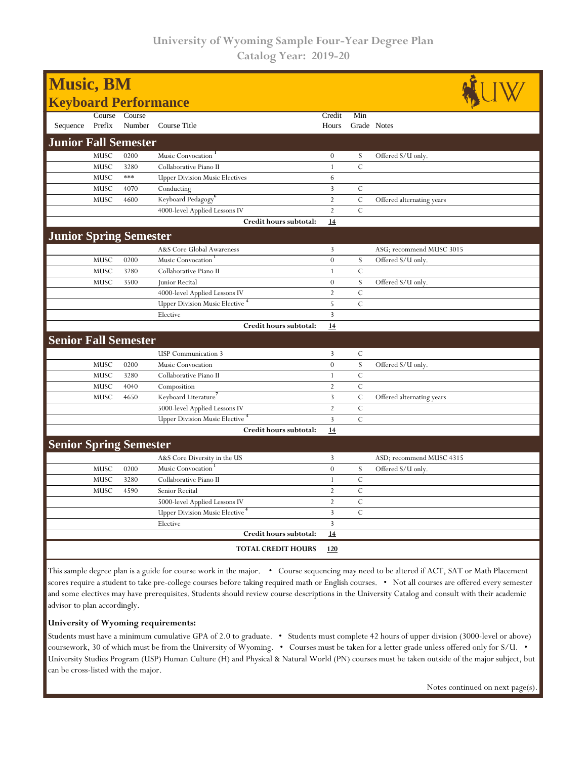| <b>Music, BM</b><br><b>Keyboard Performance</b> |             |        |                                       |                |               |                           |  |  |
|-------------------------------------------------|-------------|--------|---------------------------------------|----------------|---------------|---------------------------|--|--|
|                                                 |             |        |                                       |                |               |                           |  |  |
|                                                 | Course      | Course |                                       | Credit         | Min           |                           |  |  |
| Sequence                                        | Prefix      | Number | Course Title                          | Hours          | Grade Notes   |                           |  |  |
| <b>Junior Fall Semester</b>                     |             |        |                                       |                |               |                           |  |  |
|                                                 | MUSC        | 0200   | Music Convocation                     | $\theta$       | S             | Offered S/U only.         |  |  |
|                                                 | MUSC        | 3280   | Collaborative Piano II                | $\mathbf{1}$   | $\mathcal{C}$ |                           |  |  |
|                                                 | MUSC        | ***    | <b>Upper Division Music Electives</b> | 6              |               |                           |  |  |
|                                                 | MUSC        | 4070   | Conducting                            | 3              | $\mathcal{C}$ |                           |  |  |
|                                                 | MUSC        | 4600   | Keyboard Pedagogy <sup>6</sup>        | $\overline{2}$ | $\mathcal{C}$ | Offered alternating years |  |  |
|                                                 |             |        | 4000-level Applied Lessons IV         | $\overline{2}$ | $\mathbf C$   |                           |  |  |
|                                                 |             |        | Credit hours subtotal:                | 14             |               |                           |  |  |
| <b>Junior Spring Semester</b>                   |             |        |                                       |                |               |                           |  |  |
|                                                 |             |        | A&S Core Global Awareness             | 3              |               | ASG; recommend MUSC 3015  |  |  |
|                                                 | MUSC        | 0200   | Music Convocation                     | $\theta$       | S             | Offered S/U only.         |  |  |
|                                                 | <b>MUSC</b> | 3280   | Collaborative Piano II                | $\mathbf{1}$   | $\mathcal{C}$ |                           |  |  |
|                                                 | MUSC        | 3500   | Junior Recital                        | $\theta$       | S             | Offered S/U only.         |  |  |
|                                                 |             |        | 4000-level Applied Lessons IV         | $\overline{2}$ | $\mathcal{C}$ |                           |  |  |
|                                                 |             |        | <b>Upper Division Music Elective</b>  | 5              | $\mathcal{C}$ |                           |  |  |
|                                                 |             |        | Elective                              | 3              |               |                           |  |  |
|                                                 |             |        | Credit hours subtotal:                | 14             |               |                           |  |  |
| <b>Senior Fall Semester</b>                     |             |        |                                       |                |               |                           |  |  |
|                                                 |             |        | <b>USP</b> Communication 3            | 3              | $\mathcal{C}$ |                           |  |  |
|                                                 | MUSC        | 0200   | Music Convocation                     | $\theta$       | S             | Offered S/U only.         |  |  |
|                                                 | MUSC        | 3280   | Collaborative Piano II                | $\mathbf{1}$   | $\mathcal{C}$ |                           |  |  |
|                                                 | <b>MUSC</b> | 4040   | Composition                           | $\overline{2}$ | $\mathcal{C}$ |                           |  |  |
|                                                 | MUSC        | 4650   | Keyboard Literature'                  | 3              | $\mathcal{C}$ | Offered alternating years |  |  |
|                                                 |             |        | 5000-level Applied Lessons IV         | $\overline{2}$ | $\mathbf C$   |                           |  |  |
|                                                 |             |        | Upper Division Music Elective         | $\overline{3}$ | $\mathcal{C}$ |                           |  |  |
|                                                 |             |        | Credit hours subtotal:                | 14             |               |                           |  |  |
| <b>Senior Spring Semester</b>                   |             |        |                                       |                |               |                           |  |  |
|                                                 |             |        | A&S Core Diversity in the US          | 3              |               | ASD; recommend MUSC 4315  |  |  |
|                                                 | <b>MUSC</b> | 0200   | Music Convocation                     | $\theta$       | S             | Offered S/U only.         |  |  |
|                                                 | MUSC        | 3280   | Collaborative Piano II                | $\mathbf{1}$   | $\mathcal{C}$ |                           |  |  |
|                                                 | MUSC        | 4590   | Senior Recital                        | $\overline{2}$ | $\mathcal{C}$ |                           |  |  |
|                                                 |             |        | 5000-level Applied Lessons IV         | $\overline{2}$ | $\mathcal{C}$ |                           |  |  |
|                                                 |             |        | <b>Upper Division Music Elective</b>  | 3              | $\mathcal{C}$ |                           |  |  |
|                                                 |             |        | Elective                              | 3              |               |                           |  |  |
|                                                 |             |        | Credit hours subtotal:                | 14             |               |                           |  |  |
|                                                 |             |        | <b>TOTAL CREDIT HOURS</b>             | 120            |               |                           |  |  |

This sample degree plan is a guide for course work in the major. • Course sequencing may need to be altered if ACT, SAT or Math Placement scores require a student to take pre-college courses before taking required math or English courses. • Not all courses are offered every semester and some electives may have prerequisites. Students should review course descriptions in the University Catalog and consult with their academic advisor to plan accordingly.

## **University of Wyoming requirements:**

Students must have a minimum cumulative GPA of 2.0 to graduate. • Students must complete 42 hours of upper division (3000-level or above) coursework, 30 of which must be from the University of Wyoming. • Courses must be taken for a letter grade unless offered only for S/U. • University Studies Program (USP) Human Culture (H) and Physical & Natural World (PN) courses must be taken outside of the major subject, but can be cross-listed with the major.